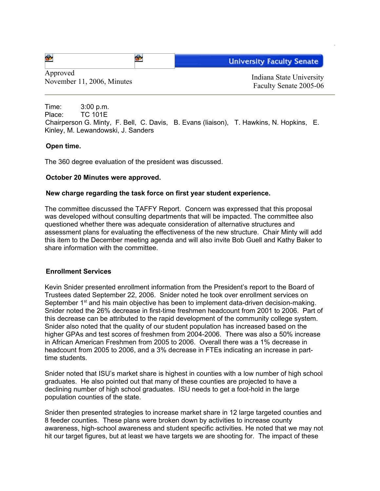| 睿 | <b>Hoiversity Faculty Senate</b> |
|---|----------------------------------|
|---|----------------------------------|

Approved November 11, 2006, Minutes Indiana State University<br>
November 11, 2006, Minutes Indiana State University

Faculty Senate 2005-06

Time: 3:00 p.m. Place: TC 101E Chairperson G. Minty, F. Bell, C. Davis, B. Evans (liaison), T. Hawkins, N. Hopkins, E. Kinley, M. Lewandowski, J. Sanders

## **Open time.**

The 360 degree evaluation of the president was discussed.

## **October 20 Minutes were approved.**

## **New charge regarding the task force on first year student experience.**

The committee discussed the TAFFY Report. Concern was expressed that this proposal was developed without consulting departments that will be impacted. The committee also questioned whether there was adequate consideration of alternative structures and assessment plans for evaluating the effectiveness of the new structure. Chair Minty will add this item to the December meeting agenda and will also invite Bob Guell and Kathy Baker to share information with the committee.

## **Enrollment Services**

Kevin Snider presented enrollment information from the President's report to the Board of Trustees dated September 22, 2006. Snider noted he took over enrollment services on September 1<sup>st</sup> and his main objective has been to implement data-driven decision-making. Snider noted the 26% decrease in first-time freshmen headcount from 2001 to 2006. Part of this decrease can be attributed to the rapid development of the community college system. Snider also noted that the quality of our student population has increased based on the higher GPAs and test scores of freshmen from 2004-2006. There was also a 50% increase in African American Freshmen from 2005 to 2006. Overall there was a 1% decrease in headcount from 2005 to 2006, and a 3% decrease in FTEs indicating an increase in parttime students.

Snider noted that ISU's market share is highest in counties with a low number of high school graduates. He also pointed out that many of these counties are projected to have a declining number of high school graduates. ISU needs to get a foot-hold in the large population counties of the state.

Snider then presented strategies to increase market share in 12 large targeted counties and 8 feeder counties. These plans were broken down by activities to increase county awareness, high-school awareness and student specific activities. He noted that we may not hit our target figures, but at least we have targets we are shooting for. The impact of these